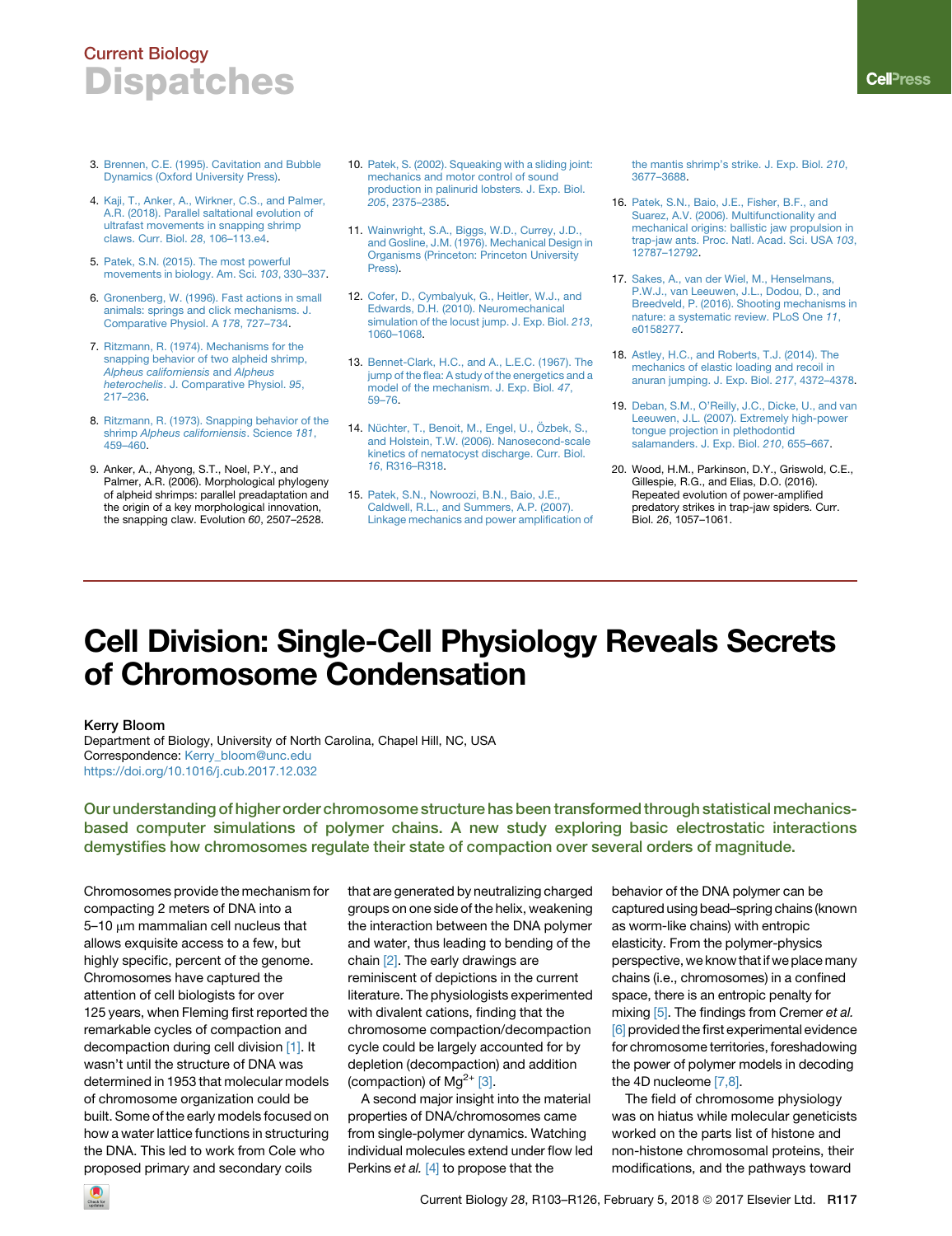## Current Biology **Dispatches**

- 3. [Brennen, C.E. \(1995\). Cavitation and Bubble](http://refhub.elsevier.com/S0960-9822(17)31666-4/sref3) [Dynamics \(Oxford University Press\).](http://refhub.elsevier.com/S0960-9822(17)31666-4/sref3)
- 4. [Kaji, T., Anker, A., Wirkner, C.S., and Palmer,](http://refhub.elsevier.com/S0960-9822(17)31666-4/sref4) [A.R. \(2018\). Parallel saltational evolution of](http://refhub.elsevier.com/S0960-9822(17)31666-4/sref4) [ultrafast movements in snapping shrimp](http://refhub.elsevier.com/S0960-9822(17)31666-4/sref4) [claws. Curr. Biol.](http://refhub.elsevier.com/S0960-9822(17)31666-4/sref4) *28*, 106–113.e4.
- 5. [Patek, S.N. \(2015\). The most powerful](http://refhub.elsevier.com/S0960-9822(17)31666-4/sref5) [movements in biology. Am. Sci.](http://refhub.elsevier.com/S0960-9822(17)31666-4/sref5) *103*, 330–337.
- 6. [Gronenberg, W. \(1996\). Fast actions in small](http://refhub.elsevier.com/S0960-9822(17)31666-4/sref6) [animals: springs and click mechanisms. J.](http://refhub.elsevier.com/S0960-9822(17)31666-4/sref6) [Comparative Physiol. A](http://refhub.elsevier.com/S0960-9822(17)31666-4/sref6) *178*, 727–734.
- 7. [Ritzmann, R. \(1974\). Mechanisms for the](http://refhub.elsevier.com/S0960-9822(17)31666-4/sref7) [snapping behavior of two alpheid shrimp,](http://refhub.elsevier.com/S0960-9822(17)31666-4/sref7)<br>Alpheus californiensis and Alpheus *[Alpheus californiensis](http://refhub.elsevier.com/S0960-9822(17)31666-4/sref7)* and *Alpheus heterochelis*[. J. Comparative Physiol.](http://refhub.elsevier.com/S0960-9822(17)31666-4/sref7) *95*, [217–236.](http://refhub.elsevier.com/S0960-9822(17)31666-4/sref7)
- 8. [Ritzmann, R. \(1973\). Snapping behavior of the](http://refhub.elsevier.com/S0960-9822(17)31666-4/sref8) shrimp *Alpheus californiensis*[. Science](http://refhub.elsevier.com/S0960-9822(17)31666-4/sref8) *181*, [459–460.](http://refhub.elsevier.com/S0960-9822(17)31666-4/sref8)
- 9. Anker, A., Ahyong, S.T., Noel, P.Y., and Palmer, A.R. (2006). Morphological phylogeny of alpheid shrimps: parallel preadaptation and the origin of a key morphological innovation, the snapping claw. Evolution *60*, 2507–2528.
- 10. [Patek, S. \(2002\). Squeaking with a sliding joint:](http://refhub.elsevier.com/S0960-9822(17)31666-4/sref10) [mechanics and motor control of sound](http://refhub.elsevier.com/S0960-9822(17)31666-4/sref10) [production in palinurid lobsters. J. Exp. Biol.](http://refhub.elsevier.com/S0960-9822(17)31666-4/sref10) *205*[, 2375–2385.](http://refhub.elsevier.com/S0960-9822(17)31666-4/sref10)
- 11. [Wainwright, S.A., Biggs, W.D., Currey, J.D.,](http://refhub.elsevier.com/S0960-9822(17)31666-4/sref11) [and Gosline, J.M. \(1976\). Mechanical Design in](http://refhub.elsevier.com/S0960-9822(17)31666-4/sref11) [Organisms \(Princeton: Princeton University](http://refhub.elsevier.com/S0960-9822(17)31666-4/sref11) [Press\).](http://refhub.elsevier.com/S0960-9822(17)31666-4/sref11)
- 12. [Cofer, D., Cymbalyuk, G., Heitler, W.J., and](http://refhub.elsevier.com/S0960-9822(17)31666-4/sref12) [Edwards, D.H. \(2010\). Neuromechanical](http://refhub.elsevier.com/S0960-9822(17)31666-4/sref12) [simulation of the locust jump. J. Exp. Biol.](http://refhub.elsevier.com/S0960-9822(17)31666-4/sref12) *213*, [1060–1068](http://refhub.elsevier.com/S0960-9822(17)31666-4/sref12).
- 13. [Bennet-Clark, H.C., and A., L.E.C. \(1967\). The](http://refhub.elsevier.com/S0960-9822(17)31666-4/sref13) [jump of the flea: A study of the energetics and a](http://refhub.elsevier.com/S0960-9822(17)31666-4/sref13) [model of the mechanism. J. Exp. Biol.](http://refhub.elsevier.com/S0960-9822(17)31666-4/sref13) *47*, [59–76](http://refhub.elsevier.com/S0960-9822(17)31666-4/sref13).
- 14. Nüchter, T., Benoit, M., Engel, U., Özbek, S., [and Holstein, T.W. \(2006\). Nanosecond-scale](http://refhub.elsevier.com/S0960-9822(17)31666-4/sref14) [kinetics of nematocyst discharge. Curr. Biol.](http://refhub.elsevier.com/S0960-9822(17)31666-4/sref14) *16*[, R316–R318](http://refhub.elsevier.com/S0960-9822(17)31666-4/sref14).
- 15. [Patek, S.N., Nowroozi, B.N., Baio, J.E.,](http://refhub.elsevier.com/S0960-9822(17)31666-4/sref15) [Caldwell, R.L., and Summers, A.P. \(2007\).](http://refhub.elsevier.com/S0960-9822(17)31666-4/sref15) [Linkage mechanics and power amplification of](http://refhub.elsevier.com/S0960-9822(17)31666-4/sref15)

[the mantis shrimp's strike. J. Exp. Biol.](http://refhub.elsevier.com/S0960-9822(17)31666-4/sref15) *210*, [3677–3688.](http://refhub.elsevier.com/S0960-9822(17)31666-4/sref15)

- 16. [Patek, S.N., Baio, J.E., Fisher, B.F., and](http://refhub.elsevier.com/S0960-9822(17)31666-4/sref16) [Suarez, A.V. \(2006\). Multifunctionality and](http://refhub.elsevier.com/S0960-9822(17)31666-4/sref16) [mechanical origins: ballistic jaw propulsion in](http://refhub.elsevier.com/S0960-9822(17)31666-4/sref16) [trap-jaw ants. Proc. Natl. Acad. Sci. USA](http://refhub.elsevier.com/S0960-9822(17)31666-4/sref16) *103*, [12787–12792.](http://refhub.elsevier.com/S0960-9822(17)31666-4/sref16)
- 17. [Sakes, A., van der Wiel, M., Henselmans,](http://refhub.elsevier.com/S0960-9822(17)31666-4/sref17) [P.W.J., van Leeuwen, J.L., Dodou, D., and](http://refhub.elsevier.com/S0960-9822(17)31666-4/sref17) [Breedveld, P. \(2016\). Shooting mechanisms in](http://refhub.elsevier.com/S0960-9822(17)31666-4/sref17) [nature: a systematic review. PLoS One](http://refhub.elsevier.com/S0960-9822(17)31666-4/sref17) *11*, [e0158277](http://refhub.elsevier.com/S0960-9822(17)31666-4/sref17).
- 18. [Astley, H.C., and Roberts, T.J. \(2014\). The](http://refhub.elsevier.com/S0960-9822(17)31666-4/sref18) [mechanics of elastic loading and recoil in](http://refhub.elsevier.com/S0960-9822(17)31666-4/sref18) [anuran jumping. J. Exp. Biol.](http://refhub.elsevier.com/S0960-9822(17)31666-4/sref18) *217*, 4372–4378.
- 19. [Deban, S.M., O'Reilly, J.C., Dicke, U., and van](http://refhub.elsevier.com/S0960-9822(17)31666-4/sref19) [Leeuwen, J.L. \(2007\). Extremely high-power](http://refhub.elsevier.com/S0960-9822(17)31666-4/sref19) [tongue projection in plethodontid](http://refhub.elsevier.com/S0960-9822(17)31666-4/sref19) [salamanders. J. Exp. Biol.](http://refhub.elsevier.com/S0960-9822(17)31666-4/sref19) *210*, 655–667.
- 20. Wood, H.M., Parkinson, D.Y., Griswold, C.E., Gillespie, R.G., and Elias, D.O. (2016). Repeated evolution of power-amplified predatory strikes in trap-jaw spiders. Curr. Biol. *26*, 1057–1061.

# Cell Division: Single-Cell Physiology Reveals Secrets of Chromosome Condensation

#### Kerry Bloom

<span id="page-0-0"></span>Department of Biology, University of North Carolina, Chapel Hill, NC, USA Correspondence: [Kerry\\_bloom@unc.edu](mailto:Kerry_bloom@unc.edu) <https://doi.org/10.1016/j.cub.2017.12.032>

Our understanding of higher order chromosome structure has been transformed through statistical mechanicsbased computer simulations of polymer chains. A new study exploring basic electrostatic interactions demystifies how chromosomes regulate their state of compaction over several orders of magnitude.

Chromosomes provide the mechanism for compacting 2 meters of DNA into a  $5-10$   $\mu$ m mammalian cell nucleus that allows exquisite access to a few, but highly specific, percent of the genome. Chromosomes have captured the attention of cell biologists for over 125 years, when Fleming first reported the remarkable cycles of compaction and decompaction during cell division [\[1\].](#page-2-0) It wasn't until the structure of DNA was determined in 1953 that molecular models of chromosome organization could be built. Some of the early models focused on how a water lattice functions in structuring the DNA. This led to work from Cole who proposed primary and secondary coils

that are generated by neutralizing charged groups on one side of the helix, weakening the interaction between the DNA polymer and water, thus leading to bending of the chain [\[2\]](#page-2-1). The early drawings are reminiscent of depictions in the current literature. The physiologists experimented with divalent cations, finding that the chromosome compaction/decompaction cycle could be largely accounted for by depletion (decompaction) and addition (compaction) of  $Mg^{2+}$  [\[3\]](#page-2-2).

A second major insight into the material properties of DNA/chromosomes came from single-polymer dynamics. Watching individual molecules extend under flow led Perkins *et al.* [\[4\]](#page-2-3) to propose that the

behavior of the DNA polymer can be captured using bead–spring chains (known as worm-like chains) with entropic elasticity. From the polymer-physics perspective, we know that if we place many chains (i.e., chromosomes) in a confined space, there is an entropic penalty for mixing [\[5\]](#page-2-4). The findings from Cremer *et al.* [\[6\]](#page-2-5) provided the first experimental evidence for chromosome territories, foreshadowing the power of polymer models in decoding the 4D nucleome [\[7,8\]](#page-2-6).

The field of chromosome physiology was on hiatus while molecular geneticists worked on the parts list of histone and non-histone chromosomal proteins, their modifications, and the pathways toward

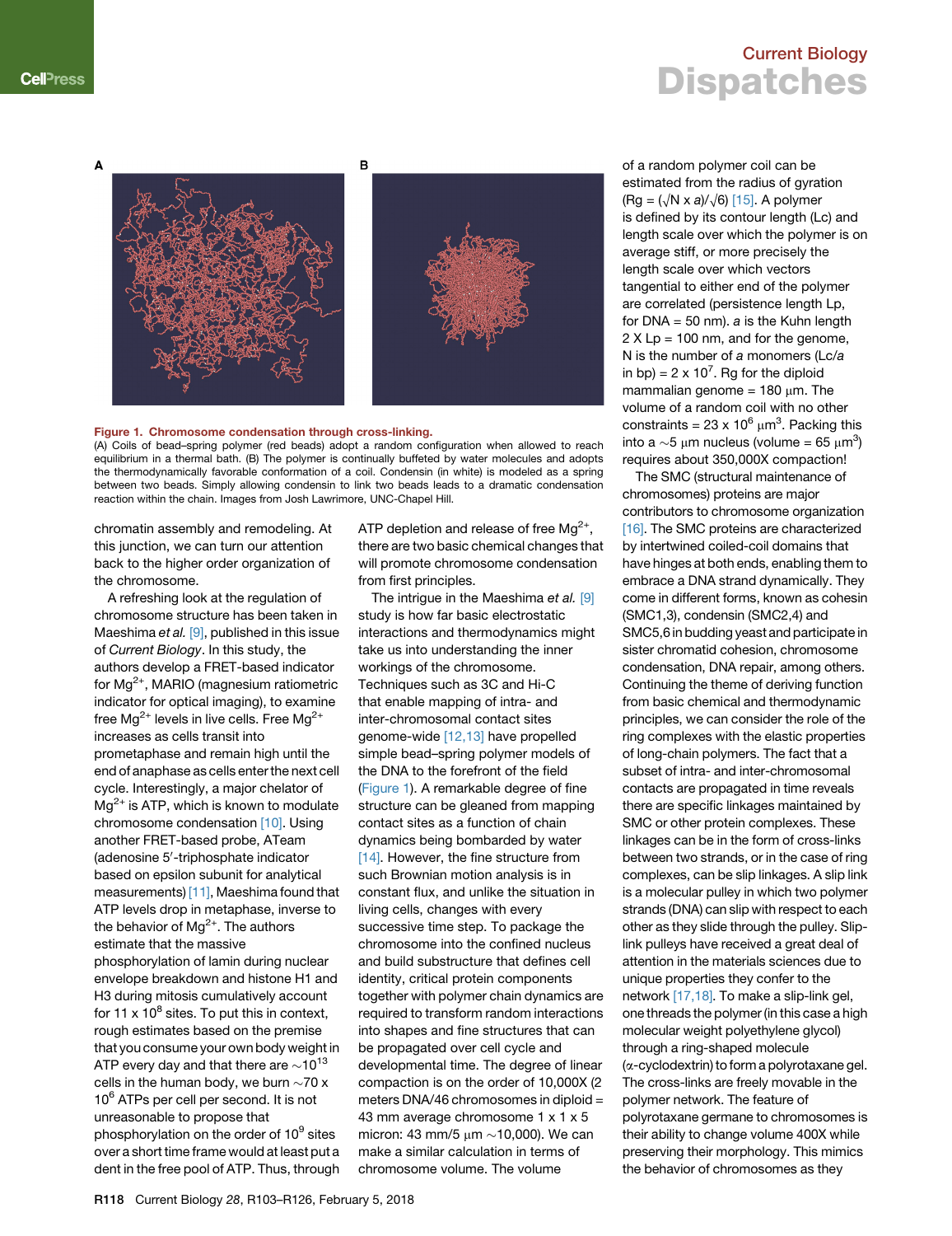### Current Biology **Dispatches**

<span id="page-1-0"></span>Δ



### Figure 1. Chromosome condensation through cross-linking.

(A) Coils of bead–spring polymer (red beads) adopt a random configuration when allowed to reach equilibrium in a thermal bath. (B) The polymer is continually buffeted by water molecules and adopts the thermodynamically favorable conformation of a coil. Condensin (in white) is modeled as a spring between two beads. Simply allowing condensin to link two beads leads to a dramatic condensation reaction within the chain. Images from Josh Lawrimore, UNC-Chapel Hill.

chromatin assembly and remodeling. At this junction, we can turn our attention back to the higher order organization of the chromosome.

A refreshing look at the regulation of chromosome structure has been taken in Maeshima *et al.* [\[9\]](#page-2-7), published in this issue of *Current Biology*. In this study, the authors develop a FRET-based indicator for  $Mg^{2+}$ , MARIO (magnesium ratiometric indicator for optical imaging), to examine free  $Mg^{2+}$  levels in live cells. Free  $Mg^{2+}$ increases as cells transit into prometaphase and remain high until the end of anaphase as cells enter the next cell cycle. Interestingly, a major chelator of  $Mg^{2+}$  is ATP, which is known to modulate chromosome condensation [\[10\].](#page-2-8) Using another FRET-based probe, ATeam (adenosine 5'-triphosphate indicator based on epsilon subunit for analytical measurements) [\[11\]](#page-2-9), Maeshima found that ATP levels drop in metaphase, inverse to the behavior of  $Mg^{2+}$ . The authors estimate that the massive phosphorylation of lamin during nuclear envelope breakdown and histone H1 and H3 during mitosis cumulatively account for 11 x  $10^8$  sites. To put this in context, rough estimates based on the premise that you consume your own body weight in ATP every day and that there are  $\sim$ 10 $^{13}$ cells in the human body, we burn  $\sim$ 70 x 10<sup>6</sup> ATPs per cell per second. It is not unreasonable to propose that phosphorylation on the order of 10<sup>9</sup> sites over a short time frame would at least put a dent in the free pool of ATP. Thus, through

ATP depletion and release of free  $Mg^{2+}$ , there are two basic chemical changes that will promote chromosome condensation from first principles.

The intrigue in the Maeshima *et al.* [\[9\]](#page-2-7) study is how far basic electrostatic interactions and thermodynamics might take us into understanding the inner workings of the chromosome. Techniques such as 3C and Hi-C that enable mapping of intra- and inter-chromosomal contact sites genome-wide [\[12,13\]](#page-2-10) have propelled simple bead–spring polymer models of the DNA to the forefront of the field [\(Figure 1](#page-1-0)). A remarkable degree of fine structure can be gleaned from mapping contact sites as a function of chain dynamics being bombarded by water [\[14\].](#page-2-11) However, the fine structure from such Brownian motion analysis is in constant flux, and unlike the situation in living cells, changes with every successive time step. To package the chromosome into the confined nucleus and build substructure that defines cell identity, critical protein components together with polymer chain dynamics are required to transform random interactions into shapes and fine structures that can be propagated over cell cycle and developmental time. The degree of linear compaction is on the order of 10,000X (2 meters DNA/46 chromosomes in diploid = 43 mm average chromosome 1 x 1 x 5 micron: 43 mm/5  $\mu$ m  $\sim$ 10,000). We can make a similar calculation in terms of chromosome volume. The volume

of a random polymer coil can be estimated from the radius of gyration  $(Rg = (\sqrt{N} \times a)/\sqrt{6})$  [\[15\].](#page-2-12) A polymer is defined by its contour length (Lc) and length scale over which the polymer is on average stiff, or more precisely the length scale over which vectors tangential to either end of the polymer are correlated (persistence length Lp, for DNA = 50 nm). *a* is the Kuhn length 2 X Lp = 100 nm, and for the genome, N is the number of *a* monomers (Lc/*a* in bp) =  $2 \times 10^7$ . Rg for the diploid mammalian genome =  $180 \mu m$ . The volume of a random coil with no other constraints = 23 x 10 $^6$   $\mu$ m $^3$ . Packing this into a  ${\sim}5$   $\mu$ m nucleus (volume = 65  $\mu$ m<sup>3</sup>) requires about 350,000X compaction!

The SMC (structural maintenance of chromosomes) proteins are major contributors to chromosome organization [\[16\]](#page-2-13). The SMC proteins are characterized by intertwined coiled-coil domains that have hinges at both ends, enabling them to embrace a DNA strand dynamically. They come in different forms, known as cohesin (SMC1,3), condensin (SMC2,4) and SMC5,6 in budding yeast and participate in sister chromatid cohesion, chromosome condensation, DNA repair, among others. Continuing the theme of deriving function from basic chemical and thermodynamic principles, we can consider the role of the ring complexes with the elastic properties of long-chain polymers. The fact that a subset of intra- and inter-chromosomal contacts are propagated in time reveals there are specific linkages maintained by SMC or other protein complexes. These linkages can be in the form of cross-links between two strands, or in the case of ring complexes, can be slip linkages. A slip link is a molecular pulley in which two polymer strands (DNA) can slip with respect to each other as they slide through the pulley. Sliplink pulleys have received a great deal of attention in the materials sciences due to unique properties they confer to the network [\[17,18\].](#page-2-14) To make a slip-link gel, one threads the polymer (in this case a high molecular weight polyethylene glycol) through a ring-shaped molecule (a-cyclodextrin) to form a polyrotaxane gel. The cross-links are freely movable in the polymer network. The feature of polyrotaxane germane to chromosomes is their ability to change volume 400X while preserving their morphology. This mimics the behavior of chromosomes as they